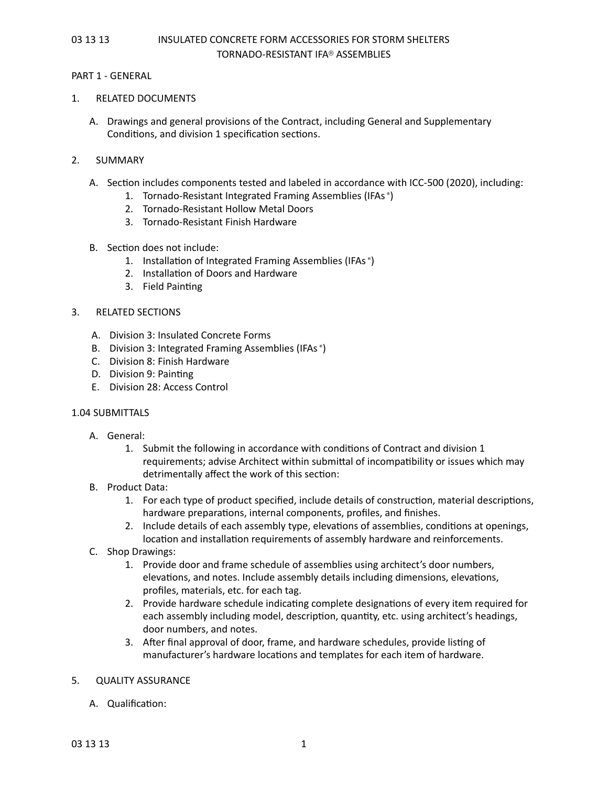#### PART 1 - GENERAL

#### 1. RELATED DOCUMENTS

A. Drawings and general provisions of the Contract, including General and Supplementary Conditions, and division 1 specification sections.

#### 2. SUMMARY

- A. Section includes components tested and labeled in accordance with ICC-500 (2020), including:
	- 1. Tornado-Resistant Integrated Framing Assemblies (IFAs ®)
	- 2. Tornado-Resistant Hollow Metal Doors
	- 3. Tornado-Resistant Finish Hardware

#### B. Section does not include:

- 1. Installation of Integrated Framing Assemblies (IFAs ®)
- 2. Installation of Doors and Hardware
- 3. Field Painting

#### 3. RELATED SECTIONS

- A. Division 3: Insulated Concrete Forms
- B. Division 3: Integrated Framing Assemblies (IFAs ®)
- C. Division 8: Finish Hardware
- D. Division 9: Painting
- E. Division 28: Access Control

### 1.04 SUBMITTALS

- A. General:
	- 1. Submit the following in accordance with conditions of Contract and division 1 requirements; advise Architect within submittal of incompatibility or issues which may detrimentally affect the work of this section:
- B. Product Data:
	- 1. For each type of product specified, include details of construction, material descriptions, hardware preparations, internal components, profiles, and finishes.
	- 2. Include details of each assembly type, elevations of assemblies, conditions at openings, location and installation requirements of assembly hardware and reinforcements.
- C. Shop Drawings:
	- 1. Provide door and frame schedule of assemblies using architect's door numbers, elevations, and notes. Include assembly details including dimensions, elevations, profiles, materials, etc. for each tag.
	- 2. Provide hardware schedule indicating complete designations of every item required for each assembly including model, description, quantity, etc. using architect's headings, door numbers, and notes.
	- 3. After final approval of door, frame, and hardware schedules, provide listing of manufacturer's hardware locations and templates for each item of hardware.

### 5. QUALITY ASSURANCE

A. Qualification: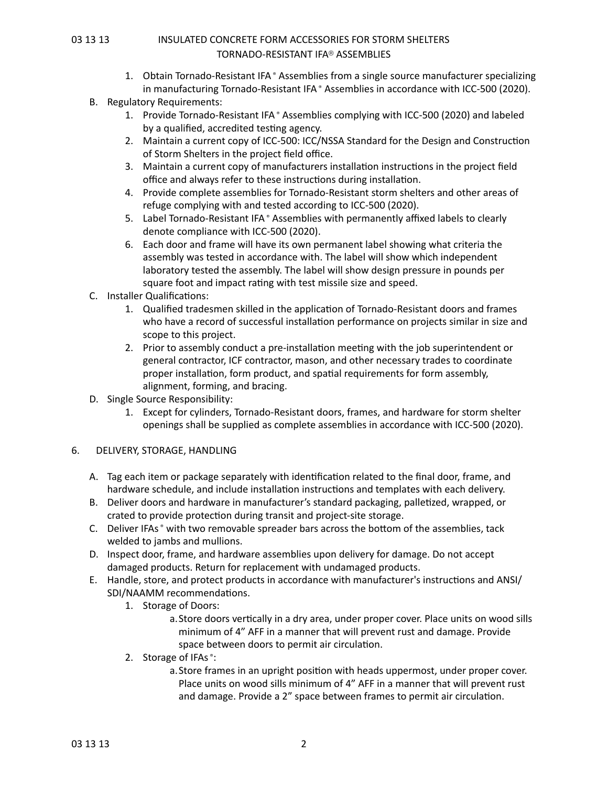- 1. Obtain Tornado-Resistant IFA ® Assemblies from a single source manufacturer specializing in manufacturing Tornado-Resistant IFA ® Assemblies in accordance with ICC-500 (2020).
- B. Regulatory Requirements:
	- 1. Provide Tornado-Resistant IFA ® Assemblies complying with ICC-500 (2020) and labeled by a qualified, accredited testing agency.
	- 2. Maintain a current copy of ICC-500: ICC/NSSA Standard for the Design and Construction of Storm Shelters in the project field office.
	- 3. Maintain a current copy of manufacturers installation instructions in the project field office and always refer to these instructions during installation.
	- 4. Provide complete assemblies for Tornado-Resistant storm shelters and other areas of refuge complying with and tested according to ICC-500 (2020).
	- 5. Label Tornado-Resistant IFA ® Assemblies with permanently affixed labels to clearly denote compliance with ICC-500 (2020).
	- 6. Each door and frame will have its own permanent label showing what criteria the assembly was tested in accordance with. The label will show which independent laboratory tested the assembly. The label will show design pressure in pounds per square foot and impact rating with test missile size and speed.
- C. Installer Qualifications:
	- 1. Qualified tradesmen skilled in the application of Tornado-Resistant doors and frames who have a record of successful installation performance on projects similar in size and scope to this project.
	- 2. Prior to assembly conduct a pre-installation meeting with the job superintendent or general contractor, ICF contractor, mason, and other necessary trades to coordinate proper installation, form product, and spatial requirements for form assembly, alignment, forming, and bracing.
- D. Single Source Responsibility:
	- 1. Except for cylinders, Tornado-Resistant doors, frames, and hardware for storm shelter openings shall be supplied as complete assemblies in accordance with ICC-500 (2020).

### 6. DELIVERY, STORAGE, HANDLING

- A. Tag each item or package separately with identification related to the final door, frame, and hardware schedule, and include installation instructions and templates with each delivery.
- B. Deliver doors and hardware in manufacturer's standard packaging, palletized, wrapped, or crated to provide protection during transit and project-site storage.
- C. Deliver IFAs ® with two removable spreader bars across the bottom of the assemblies, tack welded to jambs and mullions.
- D. Inspect door, frame, and hardware assemblies upon delivery for damage. Do not accept damaged products. Return for replacement with undamaged products.
- E. Handle, store, and protect products in accordance with manufacturer's instructions and ANSI/ SDI/NAAMM recommendations.
	- 1. Storage of Doors:
		- a.Store doors vertically in a dry area, under proper cover. Place units on wood sills minimum of 4" AFF in a manner that will prevent rust and damage. Provide space between doors to permit air circulation.
	- 2. Storage of IFAs ®:
		- a.Store frames in an upright position with heads uppermost, under proper cover. Place units on wood sills minimum of 4" AFF in a manner that will prevent rust and damage. Provide a 2" space between frames to permit air circulation.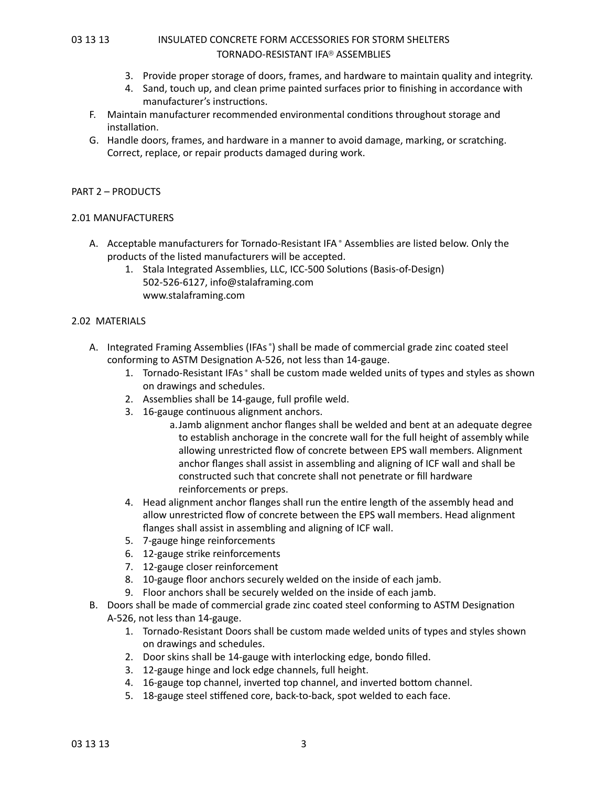- 3. Provide proper storage of doors, frames, and hardware to maintain quality and integrity.
- 4. Sand, touch up, and clean prime painted surfaces prior to finishing in accordance with manufacturer's instructions.
- F. Maintain manufacturer recommended environmental conditions throughout storage and installation.
- G. Handle doors, frames, and hardware in a manner to avoid damage, marking, or scratching. Correct, replace, or repair products damaged during work.

#### PART 2 – PRODUCTS

### 2.01 MANUFACTURERS

- A. Acceptable manufacturers for Tornado-Resistant IFA ® Assemblies are listed below. Only the products of the listed manufacturers will be accepted.
	- 1. Stala Integrated Assemblies, LLC, ICC-500 Solutions (Basis-of-Design) 502-526-6127, info@stalaframing.com www.stalaframing.com

#### 2.02 MATERIALS

- A. Integrated Framing Assemblies (IFAs<sup>®</sup>) shall be made of commercial grade zinc coated steel conforming to ASTM Designation A-526, not less than 14-gauge.
	- 1. Tornado-Resistant IFAs ® shall be custom made welded units of types and styles as shown on drawings and schedules.
	- 2. Assemblies shall be 14-gauge, full profile weld.
	- 3. 16-gauge continuous alignment anchors.
		- a.Jamb alignment anchor flanges shall be welded and bent at an adequate degree to establish anchorage in the concrete wall for the full height of assembly while allowing unrestricted flow of concrete between EPS wall members. Alignment anchor flanges shall assist in assembling and aligning of ICF wall and shall be constructed such that concrete shall not penetrate or fill hardware reinforcements or preps.
	- 4. Head alignment anchor flanges shall run the entire length of the assembly head and allow unrestricted flow of concrete between the EPS wall members. Head alignment flanges shall assist in assembling and aligning of ICF wall.
	- 5. 7-gauge hinge reinforcements
	- 6. 12-gauge strike reinforcements
	- 7. 12-gauge closer reinforcement
	- 8. 10-gauge floor anchors securely welded on the inside of each jamb.
	- 9. Floor anchors shall be securely welded on the inside of each jamb.
- B. Doors shall be made of commercial grade zinc coated steel conforming to ASTM Designation A-526, not less than 14-gauge.
	- 1. Tornado-Resistant Doors shall be custom made welded units of types and styles shown on drawings and schedules.
	- 2. Door skins shall be 14-gauge with interlocking edge, bondo filled.
	- 3. 12-gauge hinge and lock edge channels, full height.
	- 4. 16-gauge top channel, inverted top channel, and inverted bottom channel.
	- 5. 18-gauge steel stiffened core, back-to-back, spot welded to each face.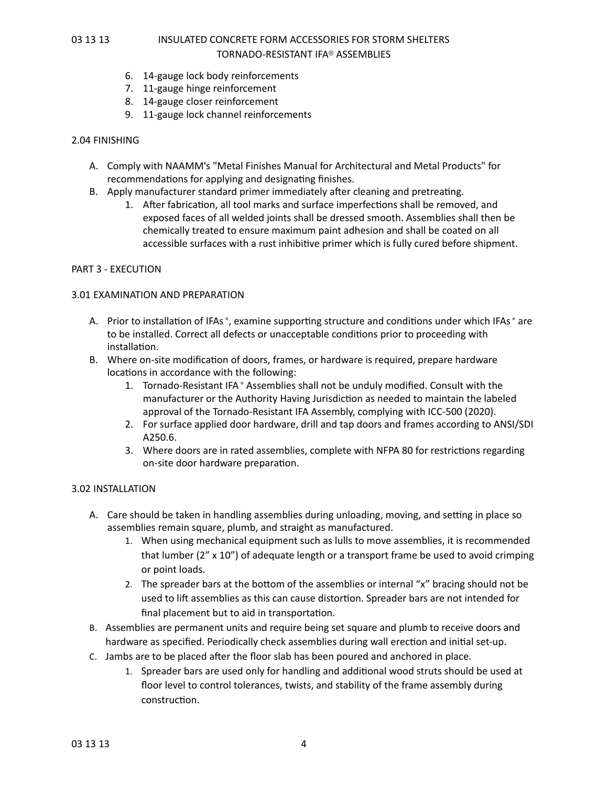- 6. 14-gauge lock body reinforcements
- 7. 11-gauge hinge reinforcement
- 8. 14-gauge closer reinforcement
- 9. 11-gauge lock channel reinforcements

#### 2.04 FINISHING

- A. Comply with NAAMM's "Metal Finishes Manual for Architectural and Metal Products" for recommendations for applying and designating finishes.
- B. Apply manufacturer standard primer immediately after cleaning and pretreating.
	- 1. After fabrication, all tool marks and surface imperfections shall be removed, and exposed faces of all welded joints shall be dressed smooth. Assemblies shall then be chemically treated to ensure maximum paint adhesion and shall be coated on all accessible surfaces with a rust inhibitive primer which is fully cured before shipment.

#### PART 3 - EXECUTION

#### 3.01 EXAMINATION AND PREPARATION

- A. Prior to installation of IFAs<sup>®</sup>, examine supporting structure and conditions under which IFAs® are to be installed. Correct all defects or unacceptable conditions prior to proceeding with installation.
- B. Where on-site modification of doors, frames, or hardware is required, prepare hardware locations in accordance with the following:
	- 1. Tornado-Resistant IFA ® Assemblies shall not be unduly modified. Consult with the manufacturer or the Authority Having Jurisdiction as needed to maintain the labeled approval of the Tornado-Resistant IFA Assembly, complying with ICC-500 (2020).
	- 2. For surface applied door hardware, drill and tap doors and frames according to ANSI/SDI A250.6.
	- 3. Where doors are in rated assemblies, complete with NFPA 80 for restrictions regarding on-site door hardware preparation.

#### 3.02 INSTALLATION

- A. Care should be taken in handling assemblies during unloading, moving, and setting in place so assemblies remain square, plumb, and straight as manufactured.
	- 1. When using mechanical equipment such as lulls to move assemblies, it is recommended that lumber ( $2'' \times 10''$ ) of adequate length or a transport frame be used to avoid crimping or point loads.
	- 2. The spreader bars at the bottom of the assemblies or internal " $x$ " bracing should not be used to lift assemblies as this can cause distortion. Spreader bars are not intended for final placement but to aid in transportation.
- B. Assemblies are permanent units and require being set square and plumb to receive doors and hardware as specified. Periodically check assemblies during wall erection and initial set-up.
- C. Jambs are to be placed after the floor slab has been poured and anchored in place.
	- 1. Spreader bars are used only for handling and additional wood struts should be used at floor level to control tolerances, twists, and stability of the frame assembly during construction.